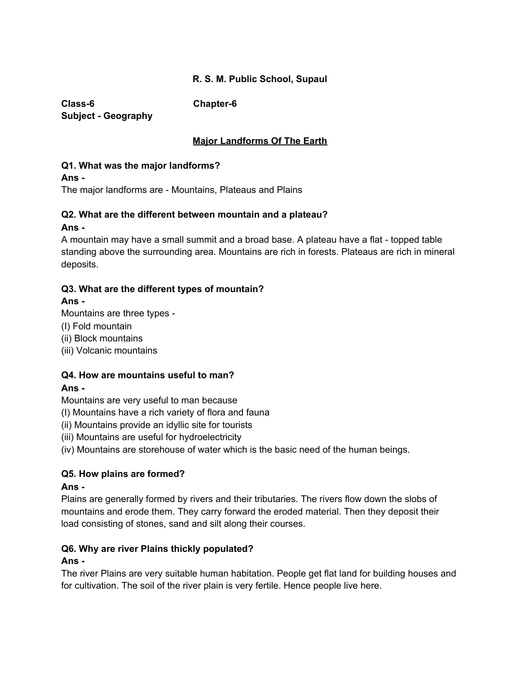# **R. S. M. Public School, Supaul**

**Class-6 Chapter-6 Subject - Geography**

# **Major Landforms Of The Earth**

#### **Q1. What was the major landforms?**

**Ans -**

The major landforms are - Mountains, Plateaus and Plains

# **Q2. What are the different between mountain and a plateau?**

**Ans -**

A mountain may have a small summit and a broad base. A plateau have a flat - topped table standing above the surrounding area. Mountains are rich in forests. Plateaus are rich in mineral deposits.

# **Q3. What are the different types of mountain?**

# **Ans -**

Mountains are three types -

- (I) Fold mountain
- (ii) Block mountains
- (iii) Volcanic mountains

# **Q4. How are mountains useful to man?**

# **Ans -**

Mountains are very useful to man because

- (I) Mountains have a rich variety of flora and fauna
- (ii) Mountains provide an idyllic site for tourists
- (iii) Mountains are useful for hydroelectricity

(iv) Mountains are storehouse of water which is the basic need of the human beings.

# **Q5. How plains are formed?**

#### **Ans -**

Plains are generally formed by rivers and their tributaries. The rivers flow down the slobs of mountains and erode them. They carry forward the eroded material. Then they deposit their load consisting of stones, sand and silt along their courses.

# **Q6. Why are river Plains thickly populated?**

# **Ans -**

The river Plains are very suitable human habitation. People get flat land for building houses and for cultivation. The soil of the river plain is very fertile. Hence people live here.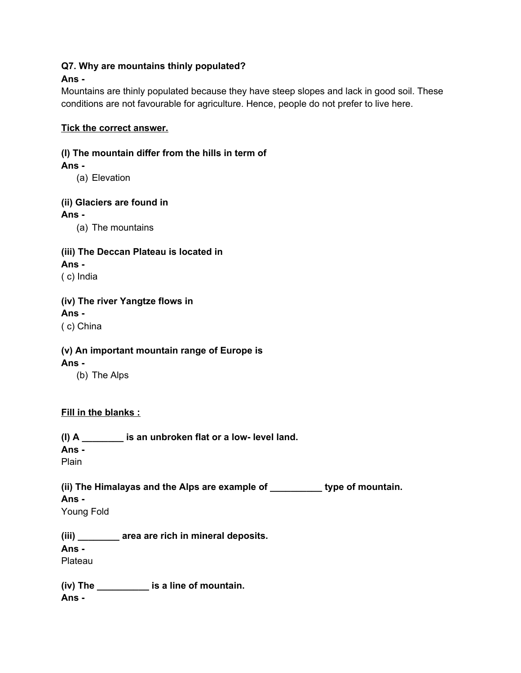# **Q7. Why are mountains thinly populated?**

# **Ans -**

Mountains are thinly populated because they have steep slopes and lack in good soil. These conditions are not favourable for agriculture. Hence, people do not prefer to live here.

# **Tick the correct answer.**

# **(I) The mountain differ from the hills in term of**

# **Ans -**

(a) Elevation

# **(ii) Glaciers are found in**

# **Ans -**

(a) The mountains

# **(iii) The Deccan Plateau is located in**

**Ans -** ( c) India

# **(iv) The river Yangtze flows in**

# **Ans -**

( c) China

# **(v) An important mountain range of Europe is**

# **Ans -**

(b) The Alps

# **Fill in the blanks :**

**(I) A \_\_\_\_\_\_\_\_ is an unbroken flat or a low- level land.**

**Ans -**

Plain

#### **(ii) The Himalayas and the Alps are example of \_\_\_\_\_\_\_\_\_\_ type of mountain. Ans -**

Young Fold

**(iii) \_\_\_\_\_\_\_\_ area are rich in mineral deposits.**

# **Ans -**

Plateau

**(iv) The \_\_\_\_\_\_\_\_\_\_ is a line of mountain. Ans -**